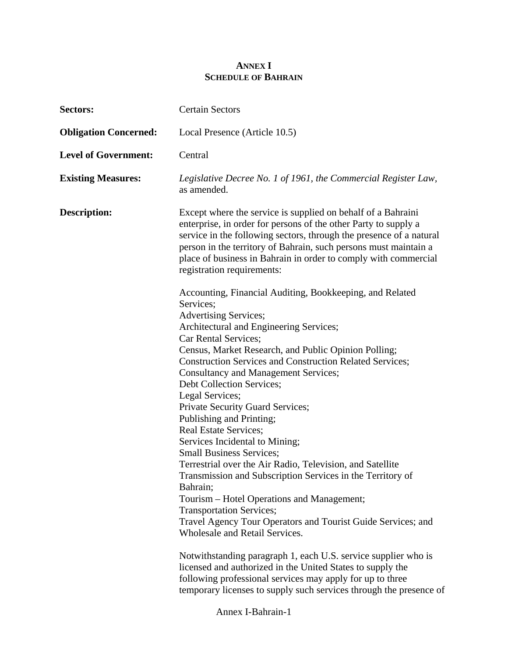## **ANNEX I SCHEDULE OF BAHRAIN**

| Sectors:                     | <b>Certain Sectors</b>                                                                                                                                                                                                                                                                                                                                                                                                                                                                                                                                                                                                                                                                                                                                                                                                                                                                                                                                                                                                     |
|------------------------------|----------------------------------------------------------------------------------------------------------------------------------------------------------------------------------------------------------------------------------------------------------------------------------------------------------------------------------------------------------------------------------------------------------------------------------------------------------------------------------------------------------------------------------------------------------------------------------------------------------------------------------------------------------------------------------------------------------------------------------------------------------------------------------------------------------------------------------------------------------------------------------------------------------------------------------------------------------------------------------------------------------------------------|
| <b>Obligation Concerned:</b> | Local Presence (Article 10.5)                                                                                                                                                                                                                                                                                                                                                                                                                                                                                                                                                                                                                                                                                                                                                                                                                                                                                                                                                                                              |
| <b>Level of Government:</b>  | Central                                                                                                                                                                                                                                                                                                                                                                                                                                                                                                                                                                                                                                                                                                                                                                                                                                                                                                                                                                                                                    |
| <b>Existing Measures:</b>    | Legislative Decree No. 1 of 1961, the Commercial Register Law,<br>as amended.                                                                                                                                                                                                                                                                                                                                                                                                                                                                                                                                                                                                                                                                                                                                                                                                                                                                                                                                              |
| <b>Description:</b>          | Except where the service is supplied on behalf of a Bahraini<br>enterprise, in order for persons of the other Party to supply a<br>service in the following sectors, through the presence of a natural<br>person in the territory of Bahrain, such persons must maintain a<br>place of business in Bahrain in order to comply with commercial<br>registration requirements:                                                                                                                                                                                                                                                                                                                                                                                                                                                                                                                                                                                                                                                |
|                              | Accounting, Financial Auditing, Bookkeeping, and Related<br>Services;<br>Advertising Services;<br>Architectural and Engineering Services;<br>Car Rental Services;<br>Census, Market Research, and Public Opinion Polling;<br><b>Construction Services and Construction Related Services;</b><br><b>Consultancy and Management Services;</b><br>Debt Collection Services;<br>Legal Services;<br>Private Security Guard Services;<br>Publishing and Printing;<br><b>Real Estate Services;</b><br>Services Incidental to Mining;<br><b>Small Business Services;</b><br>Terrestrial over the Air Radio, Television, and Satellite<br>Transmission and Subscription Services in the Territory of<br>Bahrain;<br>Tourism - Hotel Operations and Management;<br><b>Transportation Services;</b><br>Travel Agency Tour Operators and Tourist Guide Services; and<br>Wholesale and Retail Services.<br>Notwithstanding paragraph 1, each U.S. service supplier who is<br>licensed and authorized in the United States to supply the |
|                              | following professional services may apply for up to three<br>temporary licenses to supply such services through the presence of                                                                                                                                                                                                                                                                                                                                                                                                                                                                                                                                                                                                                                                                                                                                                                                                                                                                                            |

Annex I-Bahrain-1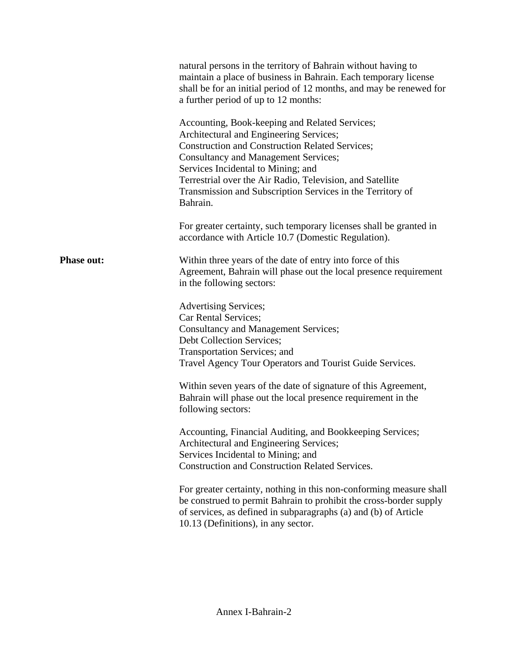|                   | natural persons in the territory of Bahrain without having to<br>maintain a place of business in Bahrain. Each temporary license<br>shall be for an initial period of 12 months, and may be renewed for<br>a further period of up to 12 months:<br>Accounting, Book-keeping and Related Services;<br>Architectural and Engineering Services;<br><b>Construction and Construction Related Services;</b><br><b>Consultancy and Management Services;</b><br>Services Incidental to Mining; and<br>Terrestrial over the Air Radio, Television, and Satellite<br>Transmission and Subscription Services in the Territory of<br>Bahrain.<br>For greater certainty, such temporary licenses shall be granted in<br>accordance with Article 10.7 (Domestic Regulation). |
|-------------------|-----------------------------------------------------------------------------------------------------------------------------------------------------------------------------------------------------------------------------------------------------------------------------------------------------------------------------------------------------------------------------------------------------------------------------------------------------------------------------------------------------------------------------------------------------------------------------------------------------------------------------------------------------------------------------------------------------------------------------------------------------------------|
| <b>Phase out:</b> | Within three years of the date of entry into force of this<br>Agreement, Bahrain will phase out the local presence requirement<br>in the following sectors:                                                                                                                                                                                                                                                                                                                                                                                                                                                                                                                                                                                                     |
|                   | <b>Advertising Services;</b><br>Car Rental Services;<br><b>Consultancy and Management Services;</b><br>Debt Collection Services;<br>Transportation Services; and<br>Travel Agency Tour Operators and Tourist Guide Services.                                                                                                                                                                                                                                                                                                                                                                                                                                                                                                                                    |
|                   | Within seven years of the date of signature of this Agreement,<br>Bahrain will phase out the local presence requirement in the<br>following sectors:                                                                                                                                                                                                                                                                                                                                                                                                                                                                                                                                                                                                            |
|                   | Accounting, Financial Auditing, and Bookkeeping Services;<br>Architectural and Engineering Services;<br>Services Incidental to Mining; and<br><b>Construction and Construction Related Services.</b>                                                                                                                                                                                                                                                                                                                                                                                                                                                                                                                                                            |
|                   | For greater certainty, nothing in this non-conforming measure shall<br>be construed to permit Bahrain to prohibit the cross-border supply<br>of services, as defined in subparagraphs (a) and (b) of Article<br>10.13 (Definitions), in any sector.                                                                                                                                                                                                                                                                                                                                                                                                                                                                                                             |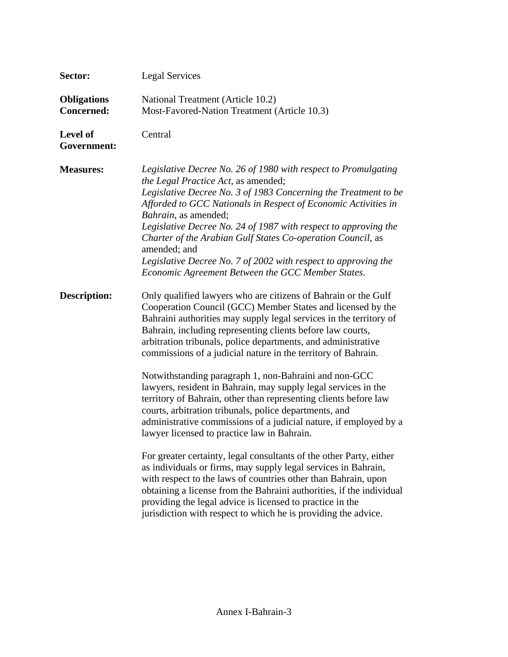| Sector:                                 | <b>Legal Services</b>                                                                                                                                                                                                                                                                                                                                                                                                                                                                                                                                                                              |
|-----------------------------------------|----------------------------------------------------------------------------------------------------------------------------------------------------------------------------------------------------------------------------------------------------------------------------------------------------------------------------------------------------------------------------------------------------------------------------------------------------------------------------------------------------------------------------------------------------------------------------------------------------|
| <b>Obligations</b><br><b>Concerned:</b> | National Treatment (Article 10.2)<br>Most-Favored-Nation Treatment (Article 10.3)                                                                                                                                                                                                                                                                                                                                                                                                                                                                                                                  |
| <b>Level of</b><br>Government:          | Central                                                                                                                                                                                                                                                                                                                                                                                                                                                                                                                                                                                            |
| <b>Measures:</b>                        | Legislative Decree No. 26 of 1980 with respect to Promulgating<br>the Legal Practice Act, as amended;<br>Legislative Decree No. 3 of 1983 Concerning the Treatment to be<br>Afforded to GCC Nationals in Respect of Economic Activities in<br>Bahrain, as amended;<br>Legislative Decree No. 24 of 1987 with respect to approving the<br>Charter of the Arabian Gulf States Co-operation Council, as<br>amended; and<br>Legislative Decree No. 7 of 2002 with respect to approving the<br>Economic Agreement Between the GCC Member States.                                                        |
| <b>Description:</b>                     | Only qualified lawyers who are citizens of Bahrain or the Gulf<br>Cooperation Council (GCC) Member States and licensed by the<br>Bahraini authorities may supply legal services in the territory of<br>Bahrain, including representing clients before law courts,<br>arbitration tribunals, police departments, and administrative<br>commissions of a judicial nature in the territory of Bahrain.<br>Notwithstanding paragraph 1, non-Bahraini and non-GCC<br>lawyers, resident in Bahrain, may supply legal services in the<br>territory of Bahrain, other than representing clients before law |
|                                         | courts, arbitration tribunals, police departments, and<br>administrative commissions of a judicial nature, if employed by a<br>lawyer licensed to practice law in Bahrain.                                                                                                                                                                                                                                                                                                                                                                                                                         |
|                                         | For greater certainty, legal consultants of the other Party, either<br>as individuals or firms, may supply legal services in Bahrain,<br>with respect to the laws of countries other than Bahrain, upon<br>obtaining a license from the Bahraini authorities, if the individual<br>providing the legal advice is licensed to practice in the<br>jurisdiction with respect to which he is providing the advice.                                                                                                                                                                                     |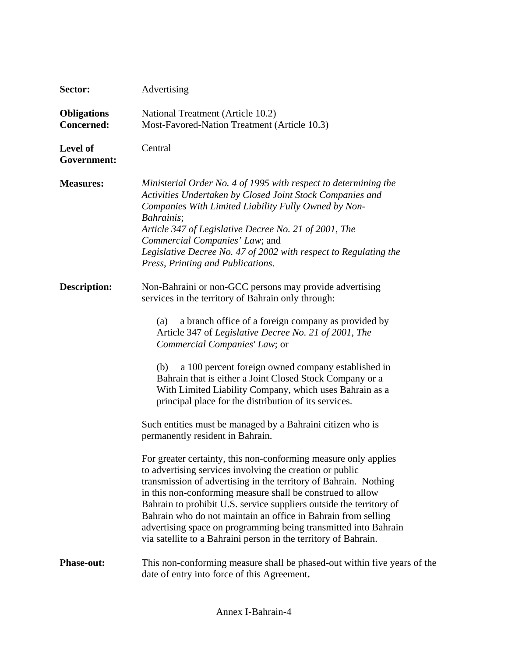| Sector:                                 | Advertising                                                                                                                                                                                                                                                                                                                                                                                                                                                                                                                                                                                                                                                                                                                                                                                                                                                                                                                                                                                                                                                                                                                                                         |
|-----------------------------------------|---------------------------------------------------------------------------------------------------------------------------------------------------------------------------------------------------------------------------------------------------------------------------------------------------------------------------------------------------------------------------------------------------------------------------------------------------------------------------------------------------------------------------------------------------------------------------------------------------------------------------------------------------------------------------------------------------------------------------------------------------------------------------------------------------------------------------------------------------------------------------------------------------------------------------------------------------------------------------------------------------------------------------------------------------------------------------------------------------------------------------------------------------------------------|
| <b>Obligations</b><br><b>Concerned:</b> | National Treatment (Article 10.2)<br>Most-Favored-Nation Treatment (Article 10.3)                                                                                                                                                                                                                                                                                                                                                                                                                                                                                                                                                                                                                                                                                                                                                                                                                                                                                                                                                                                                                                                                                   |
| Level of<br>Government:                 | Central                                                                                                                                                                                                                                                                                                                                                                                                                                                                                                                                                                                                                                                                                                                                                                                                                                                                                                                                                                                                                                                                                                                                                             |
| <b>Measures:</b>                        | Ministerial Order No. 4 of 1995 with respect to determining the<br>Activities Undertaken by Closed Joint Stock Companies and<br>Companies With Limited Liability Fully Owned by Non-<br>Bahrainis;<br>Article 347 of Legislative Decree No. 21 of 2001, The<br>Commercial Companies' Law; and<br>Legislative Decree No. 47 of 2002 with respect to Regulating the<br>Press, Printing and Publications.                                                                                                                                                                                                                                                                                                                                                                                                                                                                                                                                                                                                                                                                                                                                                              |
| <b>Description:</b>                     | Non-Bahraini or non-GCC persons may provide advertising<br>services in the territory of Bahrain only through:<br>a branch office of a foreign company as provided by<br>(a)<br>Article 347 of Legislative Decree No. 21 of 2001, The<br>Commercial Companies' Law; or<br>a 100 percent foreign owned company established in<br>(b)<br>Bahrain that is either a Joint Closed Stock Company or a<br>With Limited Liability Company, which uses Bahrain as a<br>principal place for the distribution of its services.<br>Such entities must be managed by a Bahraini citizen who is<br>permanently resident in Bahrain.<br>For greater certainty, this non-conforming measure only applies<br>to advertising services involving the creation or public<br>transmission of advertising in the territory of Bahrain. Nothing<br>in this non-conforming measure shall be construed to allow<br>Bahrain to prohibit U.S. service suppliers outside the territory of<br>Bahrain who do not maintain an office in Bahrain from selling<br>advertising space on programming being transmitted into Bahrain<br>via satellite to a Bahraini person in the territory of Bahrain. |
| <b>Phase-out:</b>                       | This non-conforming measure shall be phased-out within five years of the<br>date of entry into force of this Agreement.                                                                                                                                                                                                                                                                                                                                                                                                                                                                                                                                                                                                                                                                                                                                                                                                                                                                                                                                                                                                                                             |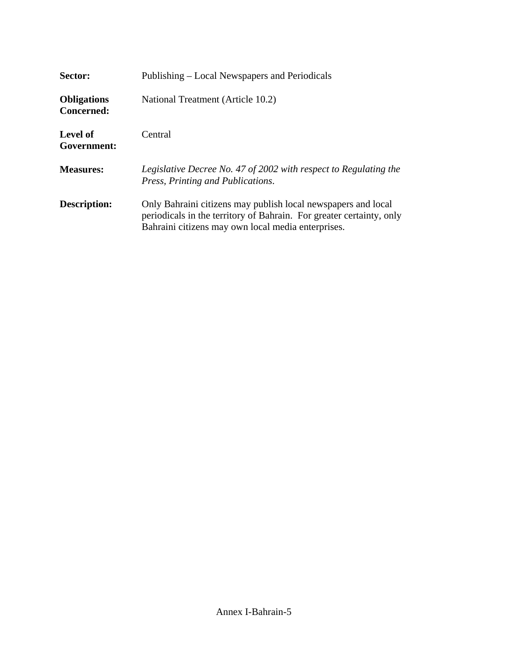| Sector:                          | Publishing – Local Newspapers and Periodicals                                                                                                                                               |
|----------------------------------|---------------------------------------------------------------------------------------------------------------------------------------------------------------------------------------------|
| <b>Obligations</b><br>Concerned: | National Treatment (Article 10.2)                                                                                                                                                           |
| Level of<br>Government:          | Central                                                                                                                                                                                     |
| <b>Measures:</b>                 | Legislative Decree No. 47 of 2002 with respect to Regulating the<br>Press, Printing and Publications.                                                                                       |
| <b>Description:</b>              | Only Bahraini citizens may publish local newspapers and local<br>periodicals in the territory of Bahrain. For greater certainty, only<br>Bahraini citizens may own local media enterprises. |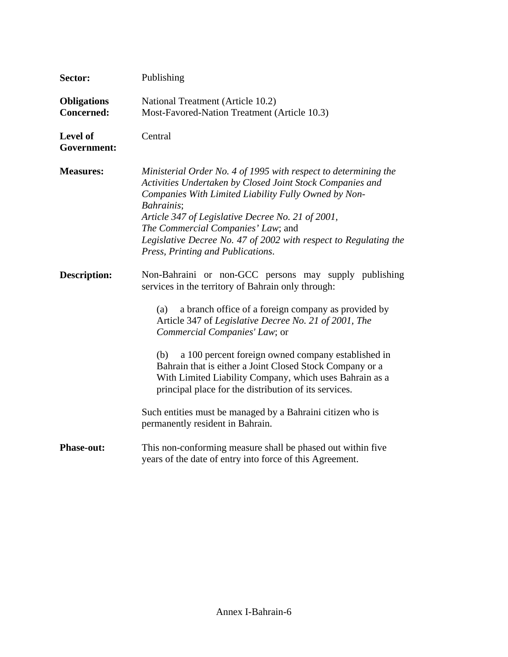| Sector:                                 | Publishing                                                                                                                                                                                                                                                                                                                                                                                                                                                                                                                                                                                                         |
|-----------------------------------------|--------------------------------------------------------------------------------------------------------------------------------------------------------------------------------------------------------------------------------------------------------------------------------------------------------------------------------------------------------------------------------------------------------------------------------------------------------------------------------------------------------------------------------------------------------------------------------------------------------------------|
| <b>Obligations</b><br><b>Concerned:</b> | National Treatment (Article 10.2)<br>Most-Favored-Nation Treatment (Article 10.3)                                                                                                                                                                                                                                                                                                                                                                                                                                                                                                                                  |
| Level of<br>Government:                 | Central                                                                                                                                                                                                                                                                                                                                                                                                                                                                                                                                                                                                            |
| <b>Measures:</b>                        | Ministerial Order No. 4 of 1995 with respect to determining the<br>Activities Undertaken by Closed Joint Stock Companies and<br>Companies With Limited Liability Fully Owned by Non-<br>Bahrainis;<br>Article 347 of Legislative Decree No. 21 of 2001,<br>The Commercial Companies' Law; and<br>Legislative Decree No. 47 of 2002 with respect to Regulating the<br>Press, Printing and Publications.                                                                                                                                                                                                             |
| <b>Description:</b>                     | Non-Bahraini or non-GCC persons may supply publishing<br>services in the territory of Bahrain only through:<br>a branch office of a foreign company as provided by<br>(a)<br>Article 347 of Legislative Decree No. 21 of 2001, The<br>Commercial Companies' Law; or<br>a 100 percent foreign owned company established in<br>(b)<br>Bahrain that is either a Joint Closed Stock Company or a<br>With Limited Liability Company, which uses Bahrain as a<br>principal place for the distribution of its services.<br>Such entities must be managed by a Bahraini citizen who is<br>permanently resident in Bahrain. |
| <b>Phase-out:</b>                       | This non-conforming measure shall be phased out within five<br>years of the date of entry into force of this Agreement.                                                                                                                                                                                                                                                                                                                                                                                                                                                                                            |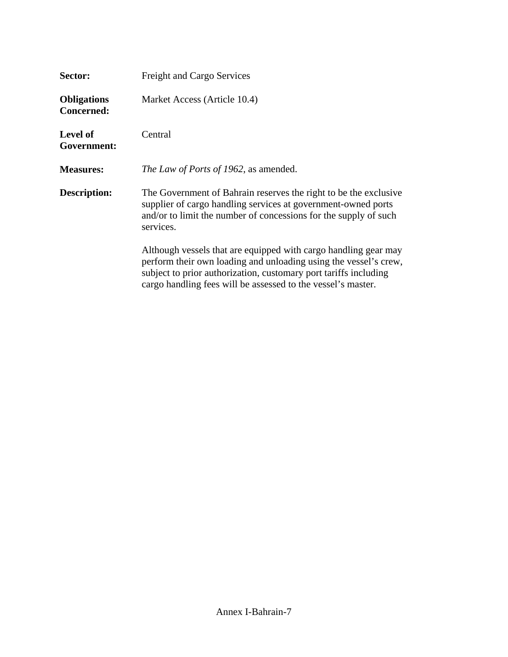| Sector:                                 | <b>Freight and Cargo Services</b>                                                                                                                                                                                                                                       |
|-----------------------------------------|-------------------------------------------------------------------------------------------------------------------------------------------------------------------------------------------------------------------------------------------------------------------------|
| <b>Obligations</b><br><b>Concerned:</b> | Market Access (Article 10.4)                                                                                                                                                                                                                                            |
| <b>Level of</b><br>Government:          | Central                                                                                                                                                                                                                                                                 |
| <b>Measures:</b>                        | The Law of Ports of 1962, as amended.                                                                                                                                                                                                                                   |
| <b>Description:</b>                     | The Government of Bahrain reserves the right to be the exclusive<br>supplier of cargo handling services at government-owned ports<br>and/or to limit the number of concessions for the supply of such<br>services.                                                      |
|                                         | Although vessels that are equipped with cargo handling gear may<br>perform their own loading and unloading using the vessel's crew,<br>subject to prior authorization, customary port tariffs including<br>cargo handling fees will be assessed to the vessel's master. |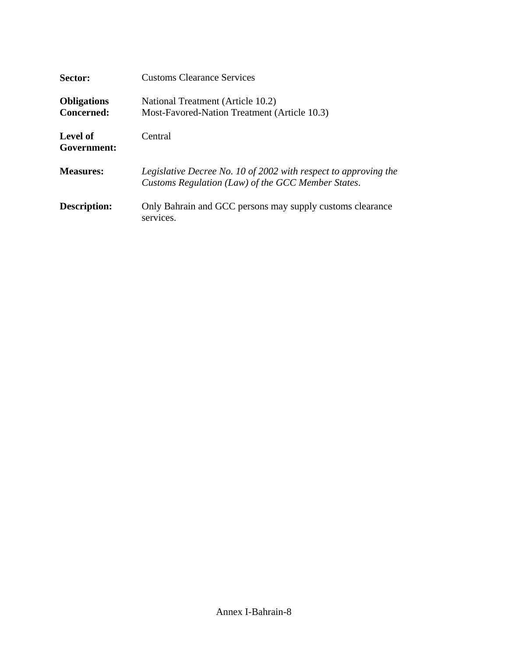| Sector:                                 | <b>Customs Clearance Services</b>                                                                                     |
|-----------------------------------------|-----------------------------------------------------------------------------------------------------------------------|
| <b>Obligations</b><br><b>Concerned:</b> | National Treatment (Article 10.2)<br>Most-Favored-Nation Treatment (Article 10.3)                                     |
| Level of<br>Government:                 | Central                                                                                                               |
| <b>Measures:</b>                        | Legislative Decree No. 10 of 2002 with respect to approving the<br>Customs Regulation (Law) of the GCC Member States. |
| <b>Description:</b>                     | Only Bahrain and GCC persons may supply customs clearance<br>services.                                                |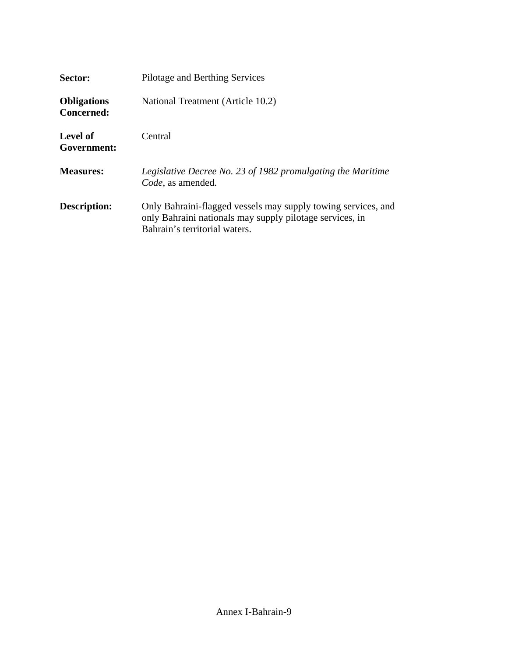| Sector:                                 | Pilotage and Berthing Services                                                                                                                             |
|-----------------------------------------|------------------------------------------------------------------------------------------------------------------------------------------------------------|
| <b>Obligations</b><br><b>Concerned:</b> | National Treatment (Article 10.2)                                                                                                                          |
| Level of<br>Government:                 | Central                                                                                                                                                    |
| <b>Measures:</b>                        | Legislative Decree No. 23 of 1982 promulgating the Maritime<br>Code, as amended.                                                                           |
| <b>Description:</b>                     | Only Bahraini-flagged vessels may supply towing services, and<br>only Bahraini nationals may supply pilotage services, in<br>Bahrain's territorial waters. |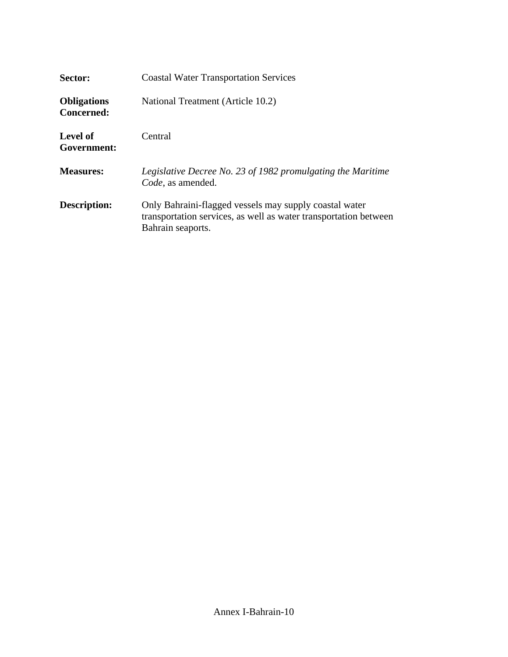| Sector:                          | <b>Coastal Water Transportation Services</b>                                                                                                    |
|----------------------------------|-------------------------------------------------------------------------------------------------------------------------------------------------|
| <b>Obligations</b><br>Concerned: | National Treatment (Article 10.2)                                                                                                               |
| Level of<br>Government:          | Central                                                                                                                                         |
| <b>Measures:</b>                 | Legislative Decree No. 23 of 1982 promulgating the Maritime<br>Code, as amended.                                                                |
| Description:                     | Only Bahraini-flagged vessels may supply coastal water<br>transportation services, as well as water transportation between<br>Bahrain seaports. |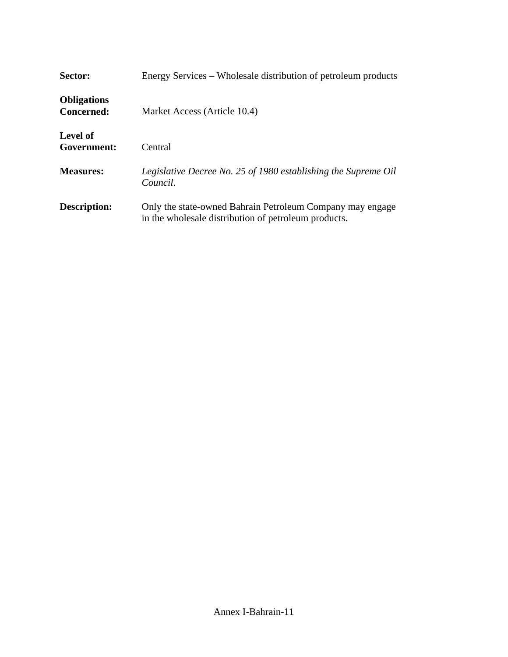| Sector:                          | Energy Services – Wholesale distribution of petroleum products                                                    |
|----------------------------------|-------------------------------------------------------------------------------------------------------------------|
| <b>Obligations</b><br>Concerned: | Market Access (Article 10.4)                                                                                      |
| Level of<br>Government:          | Central                                                                                                           |
| <b>Measures:</b>                 | Legislative Decree No. 25 of 1980 establishing the Supreme Oil<br>Council.                                        |
| <b>Description:</b>              | Only the state-owned Bahrain Petroleum Company may engage<br>in the wholesale distribution of petroleum products. |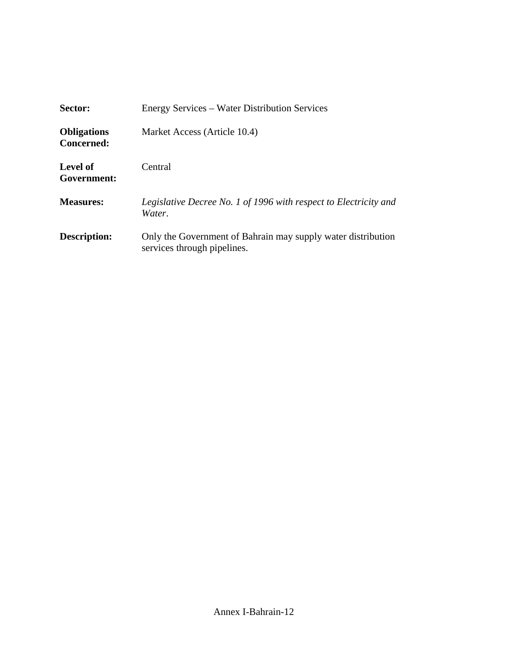| Sector:                          | Energy Services – Water Distribution Services                                               |
|----------------------------------|---------------------------------------------------------------------------------------------|
| <b>Obligations</b><br>Concerned: | Market Access (Article 10.4)                                                                |
| Level of<br>Government:          | Central                                                                                     |
| <b>Measures:</b>                 | Legislative Decree No. 1 of 1996 with respect to Electricity and<br>Water.                  |
| Description:                     | Only the Government of Bahrain may supply water distribution<br>services through pipelines. |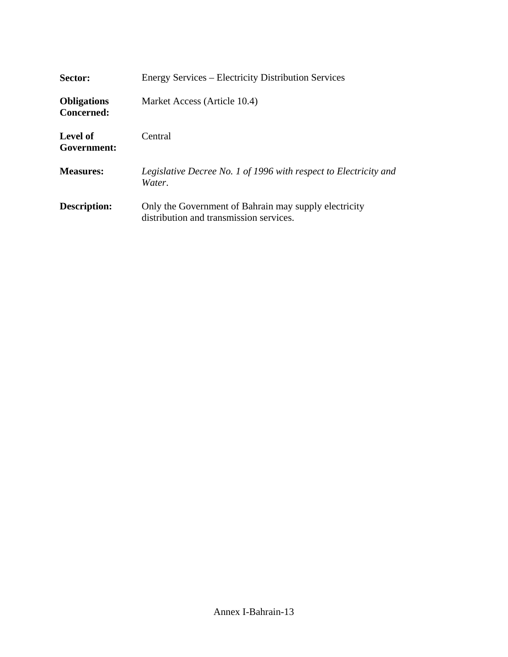| Sector:                                 | <b>Energy Services – Electricity Distribution Services</b>                                       |
|-----------------------------------------|--------------------------------------------------------------------------------------------------|
| <b>Obligations</b><br><b>Concerned:</b> | Market Access (Article 10.4)                                                                     |
| Level of<br>Government:                 | Central                                                                                          |
| <b>Measures:</b>                        | Legislative Decree No. 1 of 1996 with respect to Electricity and<br>Water.                       |
| <b>Description:</b>                     | Only the Government of Bahrain may supply electricity<br>distribution and transmission services. |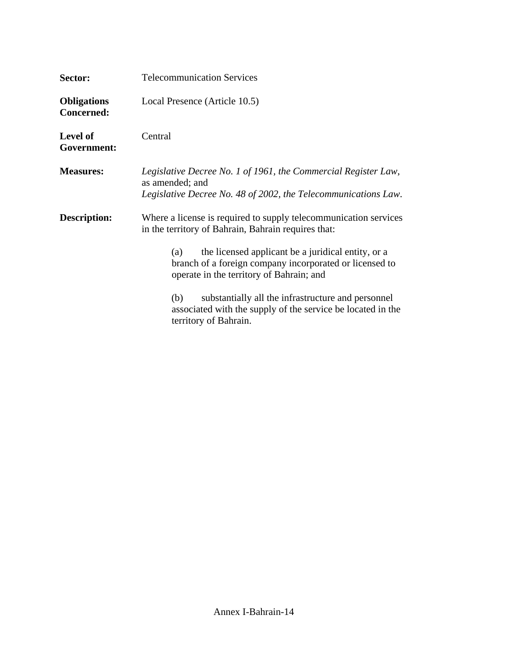| Sector:                                 | <b>Telecommunication Services</b>                                                                                                                                |
|-----------------------------------------|------------------------------------------------------------------------------------------------------------------------------------------------------------------|
| <b>Obligations</b><br><b>Concerned:</b> | Local Presence (Article 10.5)                                                                                                                                    |
| <b>Level of</b><br>Government:          | Central                                                                                                                                                          |
| <b>Measures:</b>                        | Legislative Decree No. 1 of 1961, the Commercial Register Law,<br>as amended; and<br>Legislative Decree No. 48 of 2002, the Telecommunications Law.              |
| <b>Description:</b>                     | Where a license is required to supply telecommunication services<br>in the territory of Bahrain, Bahrain requires that:                                          |
|                                         | the licensed applicant be a juridical entity, or a<br>(a)<br>branch of a foreign company incorporated or licensed to<br>operate in the territory of Bahrain; and |
|                                         | substantially all the infrastructure and personnel<br>(b)<br>associated with the supply of the service be located in the<br>territory of Bahrain.                |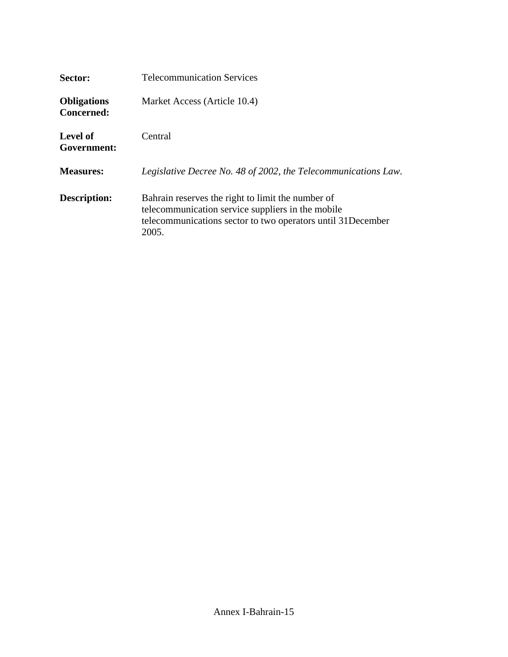| Sector:                                 | <b>Telecommunication Services</b>                                                                                                                                              |
|-----------------------------------------|--------------------------------------------------------------------------------------------------------------------------------------------------------------------------------|
| <b>Obligations</b><br><b>Concerned:</b> | Market Access (Article 10.4)                                                                                                                                                   |
| Level of<br>Government:                 | Central                                                                                                                                                                        |
| <b>Measures:</b>                        | Legislative Decree No. 48 of 2002, the Telecommunications Law.                                                                                                                 |
| <b>Description:</b>                     | Bahrain reserves the right to limit the number of<br>telecommunication service suppliers in the mobile<br>telecommunications sector to two operators until 31December<br>2005. |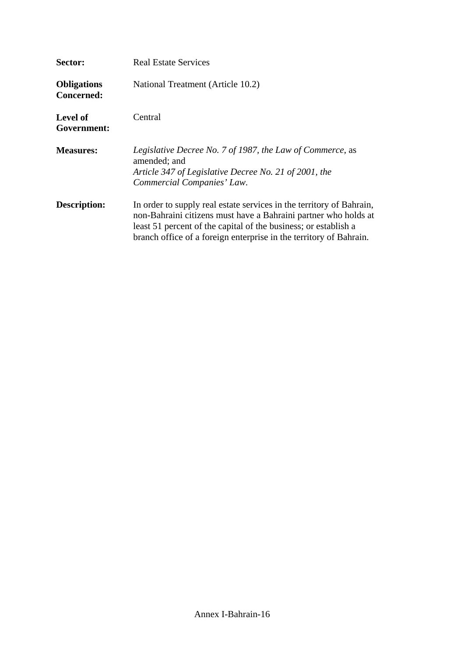| Sector:                          | <b>Real Estate Services</b>                                                                                                                                                                                                                                                      |
|----------------------------------|----------------------------------------------------------------------------------------------------------------------------------------------------------------------------------------------------------------------------------------------------------------------------------|
| <b>Obligations</b><br>Concerned: | National Treatment (Article 10.2)                                                                                                                                                                                                                                                |
| <b>Level of</b><br>Government:   | Central                                                                                                                                                                                                                                                                          |
| <b>Measures:</b>                 | Legislative Decree No. 7 of 1987, the Law of Commerce, as<br>amended; and<br>Article 347 of Legislative Decree No. 21 of 2001, the<br>Commercial Companies' Law.                                                                                                                 |
| <b>Description:</b>              | In order to supply real estate services in the territory of Bahrain,<br>non-Bahraini citizens must have a Bahraini partner who holds at<br>least 51 percent of the capital of the business; or establish a<br>branch office of a foreign enterprise in the territory of Bahrain. |